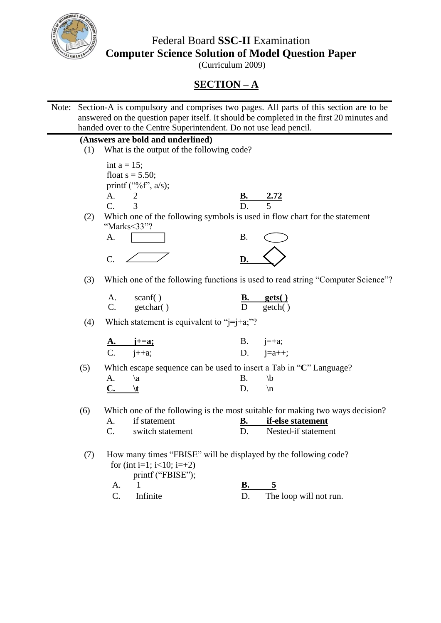

Federal Board **SSC-II** Examination **Computer Science Solution of Model Question Paper**

(Curriculum 2009)

## **SECTION – A**

Note: Section-A is compulsory and comprises two pages. All parts of this section are to be answered on the question paper itself. It should be completed in the first 20 minutes and handed over to the Centre Superintendent. Do not use lead pencil. **(Answers are bold and underlined)** (1) What is the output of the following code? int  $a = 15$ ; float  $s = 5.50$ ; printf ("%f",  $a/s$ ); A. 2 **B. 2.72** C. 3 D. 5 (2) Which one of the following symbols is used in flow chart for the statement "Marks<33"?  $A.$  B.  $C. \angle \angle$  <u>D.  $\triangle$ </u> (3) Which one of the following functions is used to read string "Computer Science"? (4) Which statement is equivalent to " $j=j+a;$ "? **A. j+=a;** B. j=+a;  $i++a$ ; D.  $i=a++;$ (5) Which escape sequence can be used to insert a Tab in "**C**" Language? A.  $\langle a \rangle$  B.  $\langle b \rangle$  $\overline{\mathbf{C}}$ .  $\mathbf{t}$  D. \n (6) Which one of the following is the most suitable for making two ways decision? A. if statement **B. if-else statement** C. switch statement D. Nested-if statement (7) How many times "FBISE" will be displayed by the following code? for (int i=1;  $i<10$ ; i=+2) printf ("FBISE"); A. 1 **B. 5** C. Infinite D. The loop will not run. A. C. scanf( ) getchar( ) **B.** D  **gets( )** getch( )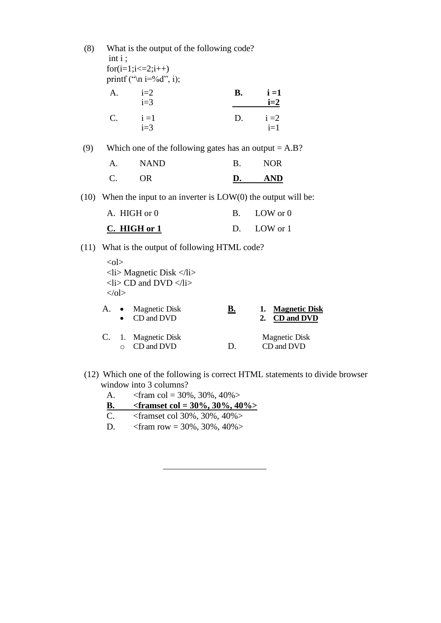(8) What is the output of the following code? int i ;  $for (i=1; i<=2; i++)$ printf (" $\langle n$  i=%d", i); (9) Which one of the following gates has an output  $= A.B$ ? A. NAND B. NOR C. OR **D. AND** (10) When the input to an inverter is  $LOW(0)$  the output will be: A. HIGH or 0 B. LOW or 0 **C. HIGH or 1** D. LOW or 1 (11) What is the output of following HTML code?  $<$ ol $>$  $\langle$ li> Magnetic Disk  $\langle$ /li>  $\langle$ li> CD and DVD  $\langle$ /li>  $<$ /ol $>$ A. i=2  $i=3$  **B. i =1 i=2**  $C.$   $i=1$  $i=3$ D.  $i = 2$  $i=1$ A. • Magnetic Disk • CD and DVD **B. 1. Magnetic Disk 2. CD and DVD**

- C. 1. Magnetic Disk o CD and DVD D. Magnetic Disk CD and DVD
- (12) Which one of the following is correct HTML statements to divide browser window into 3 columns?

| A.           | $\epsilon$ = 30%, 30%, 40%            |  |  |  |  |  |
|--------------|---------------------------------------|--|--|--|--|--|
| В.           | $\epsilon$ = 30%, 30%, 40%            |  |  |  |  |  |
| C.           | $\epsilon$ -framset col 30%, 30%, 40% |  |  |  |  |  |
| $\mathbf{D}$ | $\epsilon$ = 30%, 30%, 40%            |  |  |  |  |  |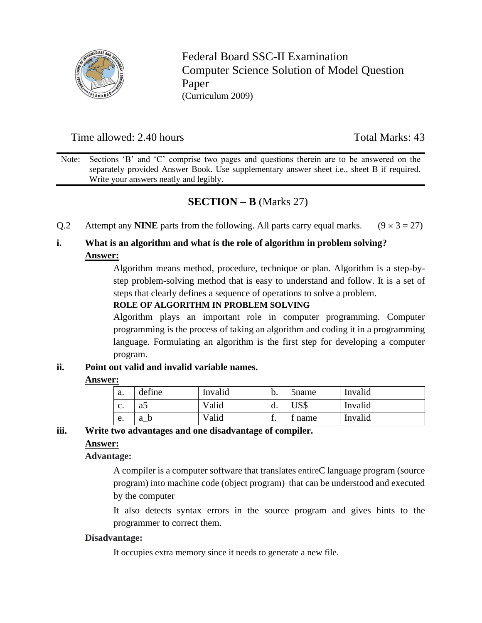

Federal Board SSC-II Examination Computer Science Solution of Model Question Paper (Curriculum 2009)

## Time allowed: 2.40 hours Total Marks: 43

Note: Sections 'B' and 'C' comprise two pages and questions therein are to be answered on the separately provided Answer Book. Use supplementary answer sheet i.e., sheet B if required. Write your answers neatly and legibly.

## **SECTION – B** (Marks 27)

O.2 Attempt any **NINE** parts from the following. All parts carry equal marks.  $(9 \times 3 = 27)$ 

## **i. What is an algorithm and what is the role of algorithm in problem solving? Answer:**

Algorithm means method, procedure, technique or plan. Algorithm is a step-bystep problem-solving method that is easy to understand and follow. It is a set of steps that clearly defines a sequence of operations to solve a problem.

### **ROLE OF ALGORITHM IN PROBLEM SOLVING**

Algorithm plays an important role in computer programming. Computer programming is the process of taking an algorithm and coding it in a programming language. Formulating an algorithm is the first step for developing a computer program.

### **ii. Point out valid and invalid variable names.**

### **Answer:**

| a. | define | Invalid | b.  | 5 <sub>n</sub> ame | Invalid |
|----|--------|---------|-----|--------------------|---------|
| C. | a      | Valid   | u.  | JS\$               | Invalid |
| e. | a b    | Valid   | . . | <sup>t</sup> name  | Invalid |

### **iii. Write two advantages and one disadvantage of compiler.**

### **Answer:**

## **Advantage:**

A compiler is a computer software that translates entireC language program (source program) into machine code (object program) that can be understood and executed by the computer

It also detects syntax errors in the source program and gives hints to the programmer to correct them.

### **Disadvantage:**

It occupies extra memory since it needs to generate a new file.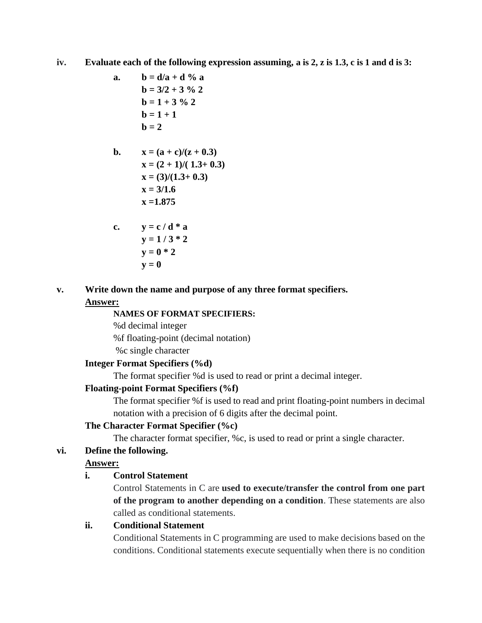**iv. Evaluate each of the following expression assuming, a is 2, z is 1.3, c is 1 and d is 3:**

**a. b = d/a + d % a b = 3/2 + 3 % 2 b = 1 + 3 % 2 b = 1 + 1 b = 2**

b. 
$$
x = (a + c)/(z + 0.3)
$$
  
\n $x = (2 + 1)/(1.3 + 0.3)$   
\n $x = (3)/(1.3 + 0.3)$   
\n $x = 3/1.6$   
\n $x = 1.875$ 

c. 
$$
y = c/d * a
$$
  
\n $y = 1/3 * 2$   
\n $y = 0 * 2$   
\n $y = 0$ 

## **v. Write down the name and purpose of any three format specifiers. Answer:**

## **NAMES OF FORMAT SPECIFIERS:**

%d decimal integer %f floating-point (decimal notation) %c single character

## **Integer Format Specifiers (%d)**

The format specifier %d is used to read or print a decimal integer.

## **Floating-point Format Specifiers (%f)**

The format specifier %f is used to read and print floating-point numbers in decimal notation with a precision of 6 digits after the decimal point.

## **The Character Format Specifier (%c)**

The character format specifier, %c, is used to read or print a single character.

## **vi. Define the following.**

## **Answer:**

## **i. Control Statement**

Control Statements in C are **used to execute/transfer the control from one part of the program to another depending on a condition**. These statements are also called as conditional statements.

## **ii. Conditional Statement**

Conditional Statements in C programming are used to make decisions based on the conditions. Conditional statements execute sequentially when there is no condition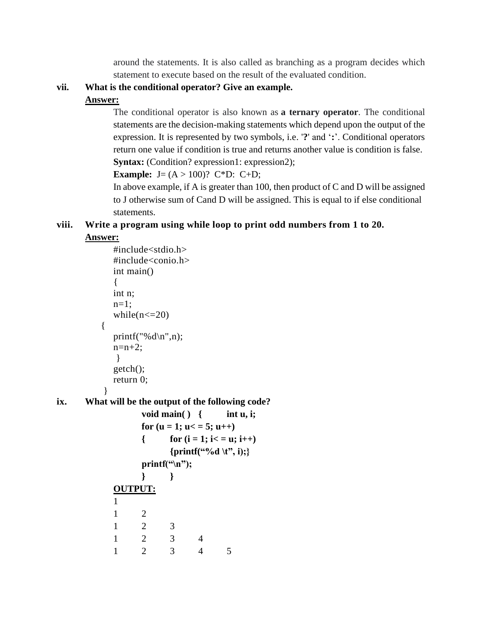around the statements. It is also called as branching as a program decides which statement to execute based on the result of the evaluated condition.

## **vii. What is the conditional operator? Give an example.**

## **Answer:**

The conditional operator is also known as **a ternary operator**. The conditional statements are the decision-making statements which depend upon the output of the expression. It is represented by two symbols, i.e. '**?**' and '**:**'. Conditional operators return one value if condition is true and returns another value is condition is false. **Syntax:** (Condition? expression1: expression2);

**Example:**  $J = (A > 100)?$   $C*D: C+D;$ 

In above example, if A is greater than 100, then product of C and D will be assigned to J otherwise sum of Cand D will be assigned. This is equal to if else conditional statements.

# **viii. Write a program using while loop to print odd numbers from 1 to 20.**

## **Answer:**

```
#include<stdio.h>
            #include<conio.h>
            int main()
            {
            int n;
            n=1:
            while(n \leq 20)
          {
            printf("%d\n\rightharpoonup",n);
            n=n+2;
             }
            getch();
            return 0;
           }
ix. What will be the output of the following code?
                  void main( ) { int u, i; 
                  for (u = 1; u < 5; u++)\{ for (i = 1; i < i = u; i++){printf("%d \t", i);}
                  print(f("n");} }
            OUTPUT:
            1
            1 2
            1 2 3
            1 2 3 4
            1 2 3 4 5
```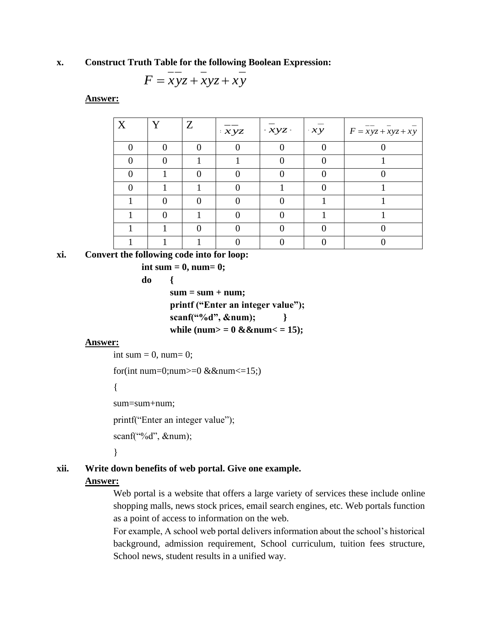### **x. Construct Truth Table for the following Boolean Expression:**

$$
F = xyz + xyz + xy
$$

**Answer:**

| X | Y | Z | $\cdot xyz$ | $-xyz$ | $\cdot xy$ | $F = xyz + xyz + xy$ |
|---|---|---|-------------|--------|------------|----------------------|
|   |   |   |             |        |            |                      |
|   |   |   |             |        |            |                      |
|   |   |   |             |        |            |                      |
|   |   |   |             |        |            |                      |
|   |   |   |             |        |            |                      |
|   |   |   |             |        |            |                      |
|   |   |   |             |        |            |                      |
|   |   |   |             |        |            |                      |

## **xi. Convert the following code into for loop:**

**int sum = 0, num= 0; do {**  $sum = sum + num;$ **printf ("Enter an integer value"); scanf("%d", &num); }** while (num $> = 0$  &&num $\lt$  = 15);

### **Answer:**

int sum  $= 0$ , num $= 0$ ;

for(int num=0;num $> = 0$  &&num $\leq 15$ ;)

{

sum=sum+num;

printf("Enter an integer value");

scanf("%d", &num);

}

### **xii. Write down benefits of web portal. Give one example.**

### **Answer:**

Web portal is a website that offers a large variety of services these include online shopping malls, news stock prices, email search engines, etc. Web portals function as a point of access to information on the web.

For example, A school web portal delivers information about the school's historical background, admission requirement, School curriculum, tuition fees structure, School news, student results in a unified way.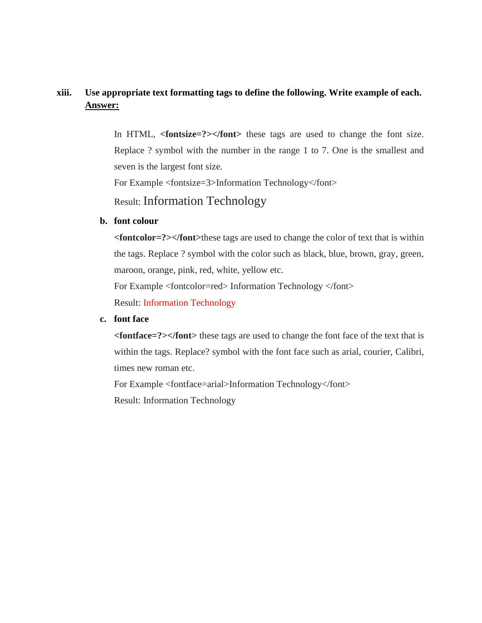## **xiii. Use appropriate text formatting tags to define the following. Write example of each. Answer:**

In HTML, **<fontsize=?>**</font> these tags are used to change the font size. Replace ? symbol with the number in the range 1 to 7. One is the smallest and seven is the largest font size.

For Example <fontsize=3>Information Technology</font>

Result: Information Technology

### **b. font colour**

**<fontcolor=?></font>**these tags are used to change the color of text that is within the tags. Replace ? symbol with the color such as black, blue, brown, gray, green, maroon, orange, pink, red, white, yellow etc. For Example <fontcolor=red> Information Technology </font> Result: Information Technology

### **c. font face**

**<fontface=?></font>** these tags are used to change the font face of the text that is within the tags. Replace? symbol with the font face such as arial, courier, Calibri, times new roman etc.

For Example <fontface=arial>Information Technology</font> Result: Information Technology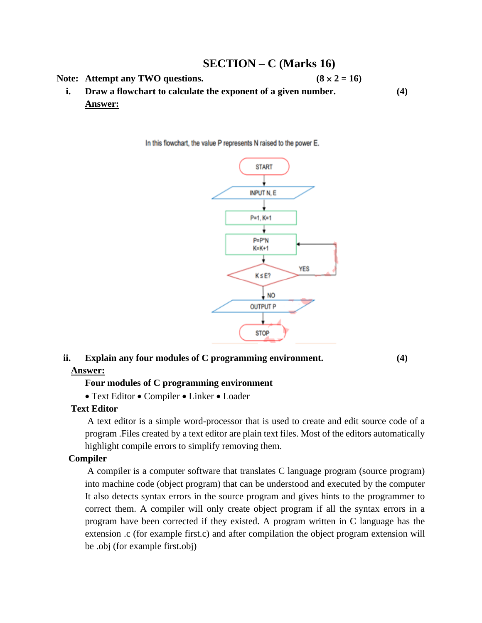## **SECTION – C (Marks 16) Note:** Attempt any TWO questions.  $(8 \times 2 = 16)$ **i. Draw a flowchart to calculate the exponent of a given number. (4) Answer:**

In this flowchart, the value P represents N raised to the power E.



## **ii. Explain any four modules of C programming environment. (4) Answer:**

### **Four modules of C programming environment**

• Text Editor • Compiler • Linker • Loader

### **Text Editor**

A text editor is a simple word-processor that is used to create and edit source code of a program .Files created by a text editor are plain text files. Most of the editors automatically highlight compile errors to simplify removing them.

## **Compiler**

A compiler is a computer software that translates C language program (source program) into machine code (object program) that can be understood and executed by the computer It also detects syntax errors in the source program and gives hints to the programmer to correct them. A compiler will only create object program if all the syntax errors in a program have been corrected if they existed. A program written in C language has the extension .c (for example first.c) and after compilation the object program extension will be .obj (for example first.obj)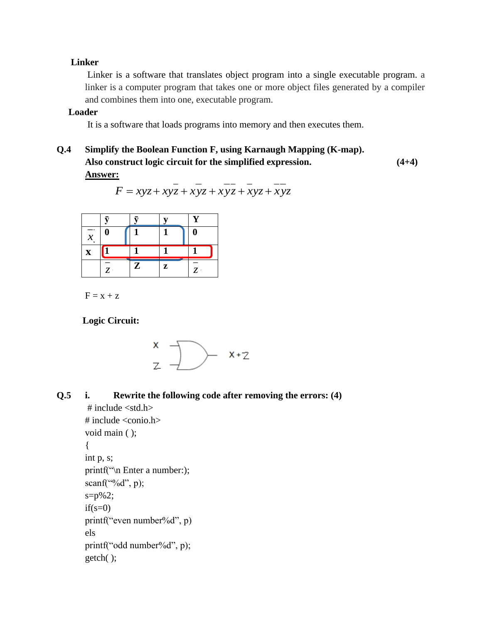### **Linker**

Linker is a software that translates object program into a single executable program. a linker is a computer program that takes one or more object files generated by a compiler and combines them into one, executable program.

## **Loader**

It is a software that loads programs into memory and then executes them.

**Q.4 Simplify the Boolean Function F, using Karnaugh Mapping (K-map). Also construct logic circuit for the simplified expression. (4+4) Answer:**

$$
F = xyz + xyz + xyz + xyz + xyz + xyz
$$

|                                   |         | ÷       |        |   |
|-----------------------------------|---------|---------|--------|---|
| --<br>v<br>$\boldsymbol{\lambda}$ | U       |         |        |   |
| $\mathbf X$                       |         |         |        |   |
|                                   | ⇁<br>۰. | π.<br>痴 | 7<br>L | – |

 $F = x + z$ 

 **Logic Circuit:**

$$
\begin{matrix} x \\ z \end{matrix} \longrightarrow \begin{matrix} x+z \end{matrix}
$$

**Q.5 i. Rewrite the following code after removing the errors: (4)**

```
# include <std.h>
\# include \langleconio.h>void main ( );
{
int p, s;
printf("\n Enter a number:);
scanf("%d", p);
s=p\%2;if(s=0)printf("even number%d", p)
els
printf("odd number%d", p);
getch( );
```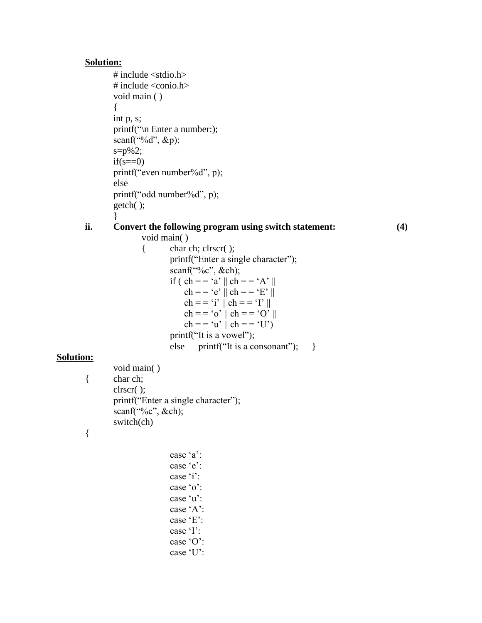### **Solution:**

**Solution:**

{

```
\# include \ltstdio.h># include <conio.h>
        void main ( )
        {
       int p, s;
        printf("\n Enter a number:);
       scanf({}^{\omega\omega}%d", &p);
        s=p\%2;if(s == 0)printf("even number%d", p);
       else
       printf("odd number%d", p);
       getch( );
        }
ii. Convert the following program using switch statement: (4)
               void main( )
               { char ch; clrscr( );
                       printf("Enter a single character");
                       scanf("%c", &ch);
                       if ( ch = = 'a' || ch = = 'A' ||ch = -e'' || ch = -E' ||
                           ch = = 'i' || ch = = 'I' ||ch = -\circ o' \parallel ch = -\circ O' \parallelch = -\alpha' \parallel ch = -\alpha'printf("It is a vowel");
                       else printf("It is a consonant"); }
        void main( )
{ char ch;
       clrscr( );
       printf("Enter a single character");
       scanf("%c", &ch);
        switch(ch)
```

```
case 'a':
case 'e':
case 'i':
case 'o':
case 'u':
case 'A':
case 'E':
case 'I':
case 'O':
case 'U':
```